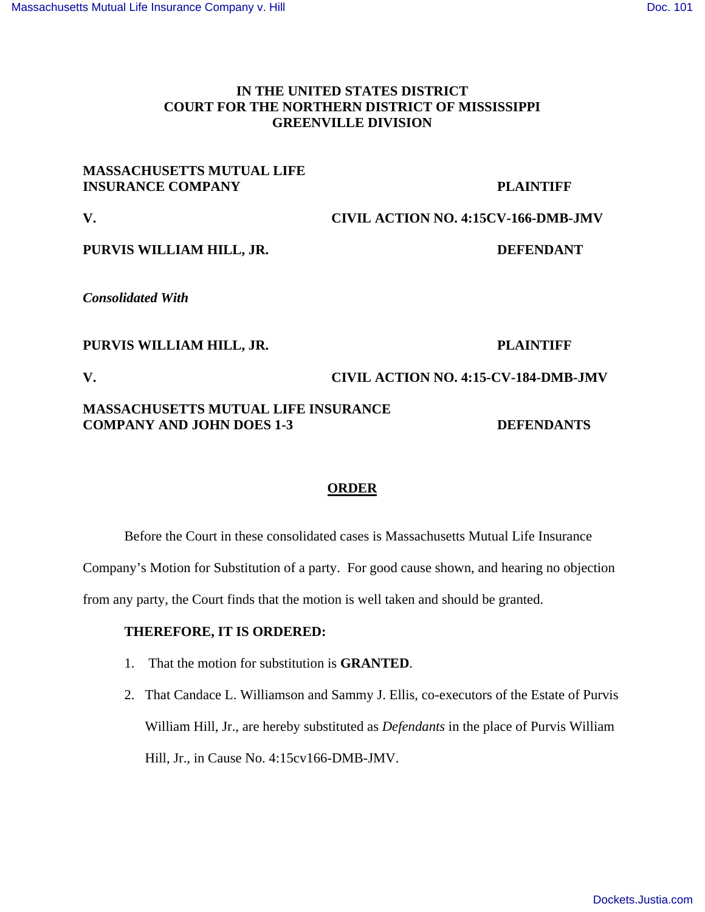# **IN THE UNITED STATES DISTRICT COURT FOR THE NORTHERN DISTRICT OF MISSISSIPPI GREENVILLE DIVISION**

# **MASSACHUSETTS MUTUAL LIFE INSURANCE COMPANY PLAINTIFF**

**V. CIVIL ACTION NO. 4:15CV-166-DMB-JMV** 

## **PURVIS WILLIAM HILL, JR. DEFENDANT**

*Consolidated With*

### PURVIS WILLIAM HILL, JR. PLAINTIFF

**V. CIVIL ACTION NO. 4:15-CV-184-DMB-JMV** 

## **MASSACHUSETTS MUTUAL LIFE INSURANCE COMPANY AND JOHN DOES 1-3 DEFENDANTS**

# **ORDER**

Before the Court in these consolidated cases is Massachusetts Mutual Life Insurance

Company's Motion for Substitution of a party. For good cause shown, and hearing no objection

from any party, the Court finds that the motion is well taken and should be granted.

### **THEREFORE, IT IS ORDERED:**

- 1. That the motion for substitution is **GRANTED**.
- 2. That Candace L. Williamson and Sammy J. Ellis, co-executors of the Estate of Purvis William Hill, Jr., are hereby substituted as *Defendants* in the place of Purvis William Hill, Jr., in Cause No. 4:15cv166-DMB-JMV.